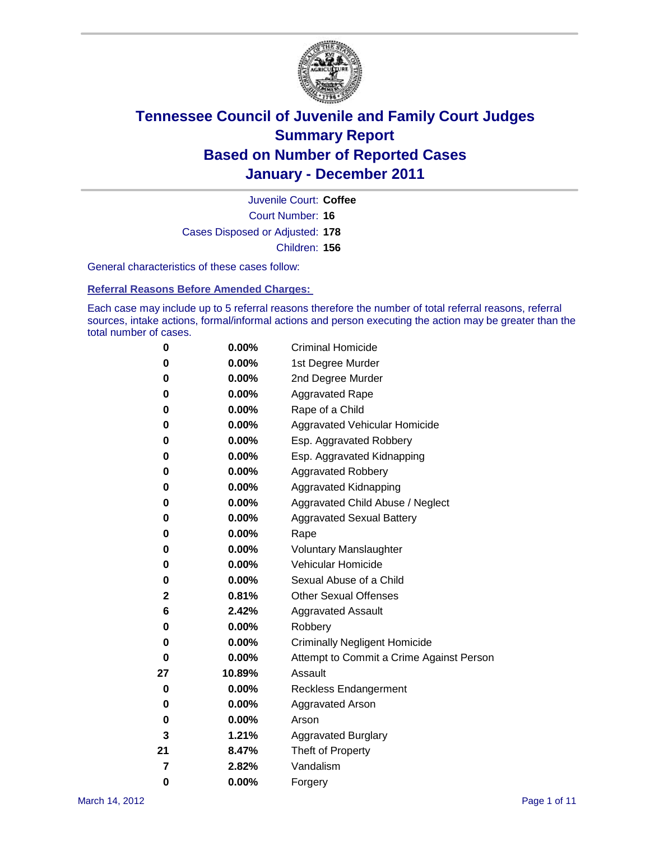

Court Number: **16** Juvenile Court: **Coffee** Cases Disposed or Adjusted: **178** Children: **156**

General characteristics of these cases follow:

**Referral Reasons Before Amended Charges:** 

Each case may include up to 5 referral reasons therefore the number of total referral reasons, referral sources, intake actions, formal/informal actions and person executing the action may be greater than the total number of cases.

| 0  | 0.00%    | <b>Criminal Homicide</b>                 |
|----|----------|------------------------------------------|
| 0  | 0.00%    | 1st Degree Murder                        |
| 0  | 0.00%    | 2nd Degree Murder                        |
| 0  | 0.00%    | <b>Aggravated Rape</b>                   |
| 0  | 0.00%    | Rape of a Child                          |
| 0  | 0.00%    | Aggravated Vehicular Homicide            |
| 0  | 0.00%    | Esp. Aggravated Robbery                  |
| 0  | 0.00%    | Esp. Aggravated Kidnapping               |
| 0  | 0.00%    | <b>Aggravated Robbery</b>                |
| 0  | 0.00%    | Aggravated Kidnapping                    |
| 0  | 0.00%    | Aggravated Child Abuse / Neglect         |
| 0  | $0.00\%$ | <b>Aggravated Sexual Battery</b>         |
| 0  | 0.00%    | Rape                                     |
| 0  | 0.00%    | <b>Voluntary Manslaughter</b>            |
| 0  | 0.00%    | Vehicular Homicide                       |
| 0  | 0.00%    | Sexual Abuse of a Child                  |
| 2  | 0.81%    | <b>Other Sexual Offenses</b>             |
| 6  | 2.42%    | <b>Aggravated Assault</b>                |
| 0  | $0.00\%$ | Robbery                                  |
| 0  | 0.00%    | <b>Criminally Negligent Homicide</b>     |
| 0  | 0.00%    | Attempt to Commit a Crime Against Person |
| 27 | 10.89%   | Assault                                  |
| 0  | 0.00%    | <b>Reckless Endangerment</b>             |
| 0  | 0.00%    | <b>Aggravated Arson</b>                  |
| 0  | 0.00%    | Arson                                    |
| 3  | 1.21%    | <b>Aggravated Burglary</b>               |
| 21 | 8.47%    | Theft of Property                        |
| 7  | 2.82%    | Vandalism                                |
| 0  | 0.00%    | Forgery                                  |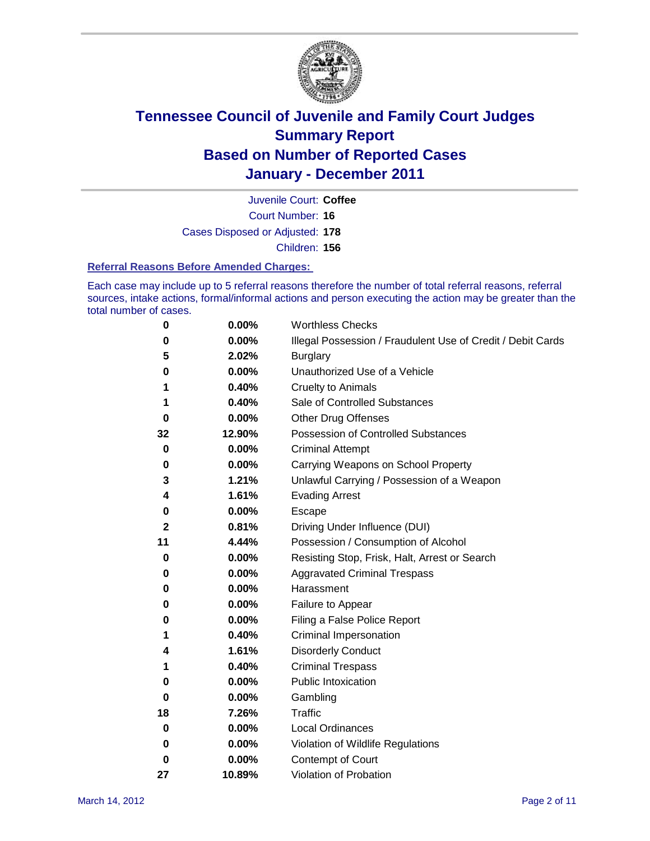

Court Number: **16** Juvenile Court: **Coffee** Cases Disposed or Adjusted: **178** Children: **156**

#### **Referral Reasons Before Amended Charges:**

Each case may include up to 5 referral reasons therefore the number of total referral reasons, referral sources, intake actions, formal/informal actions and person executing the action may be greater than the total number of cases.

| 0  | 0.00%  | <b>Worthless Checks</b>                                     |
|----|--------|-------------------------------------------------------------|
| 0  | 0.00%  | Illegal Possession / Fraudulent Use of Credit / Debit Cards |
| 5  | 2.02%  | <b>Burglary</b>                                             |
| 0  | 0.00%  | Unauthorized Use of a Vehicle                               |
| 1  | 0.40%  | <b>Cruelty to Animals</b>                                   |
| 1  | 0.40%  | Sale of Controlled Substances                               |
| 0  | 0.00%  | <b>Other Drug Offenses</b>                                  |
| 32 | 12.90% | Possession of Controlled Substances                         |
| 0  | 0.00%  | <b>Criminal Attempt</b>                                     |
| 0  | 0.00%  | Carrying Weapons on School Property                         |
| 3  | 1.21%  | Unlawful Carrying / Possession of a Weapon                  |
| 4  | 1.61%  | <b>Evading Arrest</b>                                       |
| 0  | 0.00%  | Escape                                                      |
| 2  | 0.81%  | Driving Under Influence (DUI)                               |
| 11 | 4.44%  | Possession / Consumption of Alcohol                         |
| 0  | 0.00%  | Resisting Stop, Frisk, Halt, Arrest or Search               |
| 0  | 0.00%  | <b>Aggravated Criminal Trespass</b>                         |
| 0  | 0.00%  | Harassment                                                  |
| 0  | 0.00%  | Failure to Appear                                           |
| 0  | 0.00%  | Filing a False Police Report                                |
| 1  | 0.40%  | Criminal Impersonation                                      |
| 4  | 1.61%  | <b>Disorderly Conduct</b>                                   |
| 1  | 0.40%  | <b>Criminal Trespass</b>                                    |
| 0  | 0.00%  | <b>Public Intoxication</b>                                  |
| 0  | 0.00%  | Gambling                                                    |
| 18 | 7.26%  | Traffic                                                     |
| 0  | 0.00%  | <b>Local Ordinances</b>                                     |
| 0  | 0.00%  | Violation of Wildlife Regulations                           |
| 0  | 0.00%  | Contempt of Court                                           |
| 27 | 10.89% | Violation of Probation                                      |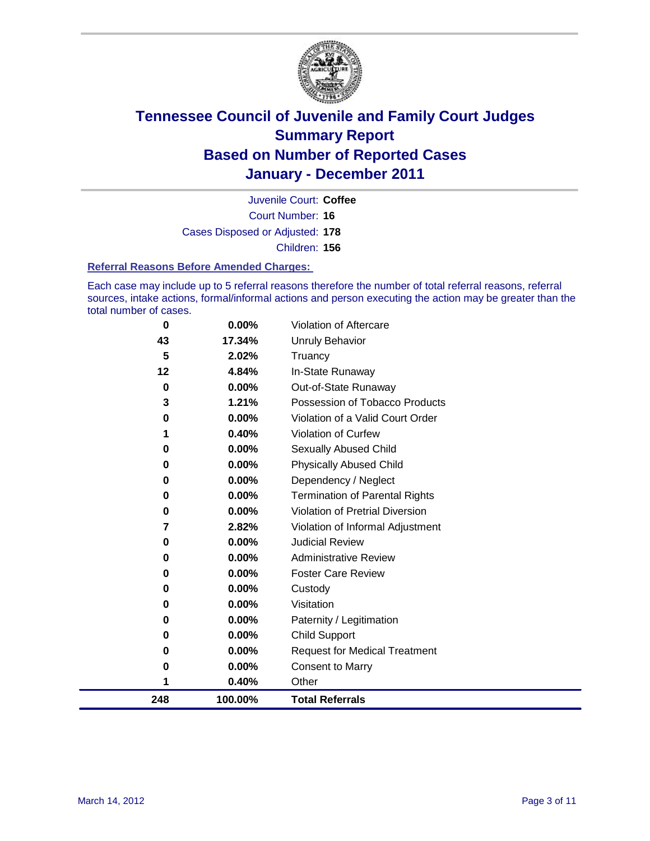

Court Number: **16** Juvenile Court: **Coffee** Cases Disposed or Adjusted: **178** Children: **156**

#### **Referral Reasons Before Amended Charges:**

Each case may include up to 5 referral reasons therefore the number of total referral reasons, referral sources, intake actions, formal/informal actions and person executing the action may be greater than the total number of cases.

| 248      | 100.00%  | <b>Total Referrals</b>                 |
|----------|----------|----------------------------------------|
| 1        | 0.40%    | Other                                  |
| 0        | 0.00%    | <b>Consent to Marry</b>                |
| 0        | 0.00%    | <b>Request for Medical Treatment</b>   |
| 0        | 0.00%    | <b>Child Support</b>                   |
| 0        | 0.00%    | Paternity / Legitimation               |
| 0        | 0.00%    | Visitation                             |
| 0        | 0.00%    | Custody                                |
| 0        | $0.00\%$ | <b>Foster Care Review</b>              |
| 0        | $0.00\%$ | <b>Administrative Review</b>           |
| 0        | 0.00%    | <b>Judicial Review</b>                 |
| 7        | 2.82%    | Violation of Informal Adjustment       |
| $\bf{0}$ | 0.00%    | <b>Violation of Pretrial Diversion</b> |
| $\bf{0}$ | 0.00%    | <b>Termination of Parental Rights</b>  |
| 0        | 0.00%    | Dependency / Neglect                   |
| $\bf{0}$ | 0.00%    | <b>Physically Abused Child</b>         |
| 0        | 0.00%    | <b>Sexually Abused Child</b>           |
|          | 0.40%    | Violation of Curfew                    |
| 0        | 0.00%    | Violation of a Valid Court Order       |
| 3        | 1.21%    | Possession of Tobacco Products         |
| $\bf{0}$ | 0.00%    | Out-of-State Runaway                   |
| 12       | 4.84%    | In-State Runaway                       |
| 5        | 2.02%    | Truancy                                |
| 43       | 17.34%   | <b>Unruly Behavior</b>                 |
| 0        | 0.00%    | Violation of Aftercare                 |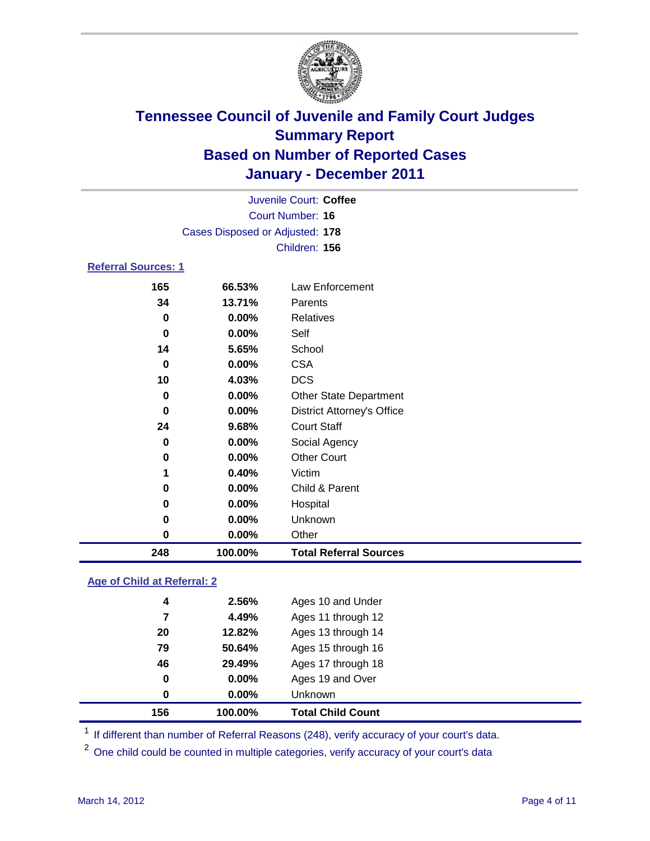

| 248                        | 100.00%                         | <b>Total Referral Sources</b>     |  |
|----------------------------|---------------------------------|-----------------------------------|--|
| 0                          | 0.00%                           | Other                             |  |
| 0                          | 0.00%                           | Unknown                           |  |
| 0                          | 0.00%                           | Hospital                          |  |
| 0                          | 0.00%                           | Child & Parent                    |  |
| 1                          | 0.40%                           | Victim                            |  |
| $\bf{0}$                   | 0.00%                           | <b>Other Court</b>                |  |
| 0                          | 0.00%                           | Social Agency                     |  |
| 24                         | 9.68%                           | <b>Court Staff</b>                |  |
| 0                          | 0.00%                           | <b>District Attorney's Office</b> |  |
| 0                          | 0.00%                           | <b>Other State Department</b>     |  |
| 10                         | 4.03%                           | <b>DCS</b>                        |  |
| 0                          | 0.00%                           | <b>CSA</b>                        |  |
| 14                         | 5.65%                           | School                            |  |
| 0                          | 0.00%                           | Self                              |  |
| $\bf{0}$                   | 0.00%                           | Relatives                         |  |
| 34                         | 13.71%                          | Parents                           |  |
| 165                        | 66.53%                          | Law Enforcement                   |  |
| <b>Referral Sources: 1</b> |                                 |                                   |  |
|                            |                                 | Children: 156                     |  |
|                            | Cases Disposed or Adjusted: 178 |                                   |  |
|                            | Court Number: 16                |                                   |  |
| Juvenile Court: Coffee     |                                 |                                   |  |
|                            |                                 |                                   |  |

### **Age of Child at Referral: 2**

| 156 | 100.00%       | <b>Total Child Count</b> |
|-----|---------------|--------------------------|
|     | $0.00\%$<br>0 | <b>Unknown</b>           |
|     | 0<br>0.00%    | Ages 19 and Over         |
| 46  | 29.49%        | Ages 17 through 18       |
| 79  | 50.64%        | Ages 15 through 16       |
| 20  | 12.82%        | Ages 13 through 14       |
|     | 4.49%<br>7    | Ages 11 through 12       |
|     | 4<br>2.56%    | Ages 10 and Under        |
|     |               |                          |

<sup>1</sup> If different than number of Referral Reasons (248), verify accuracy of your court's data.

<sup>2</sup> One child could be counted in multiple categories, verify accuracy of your court's data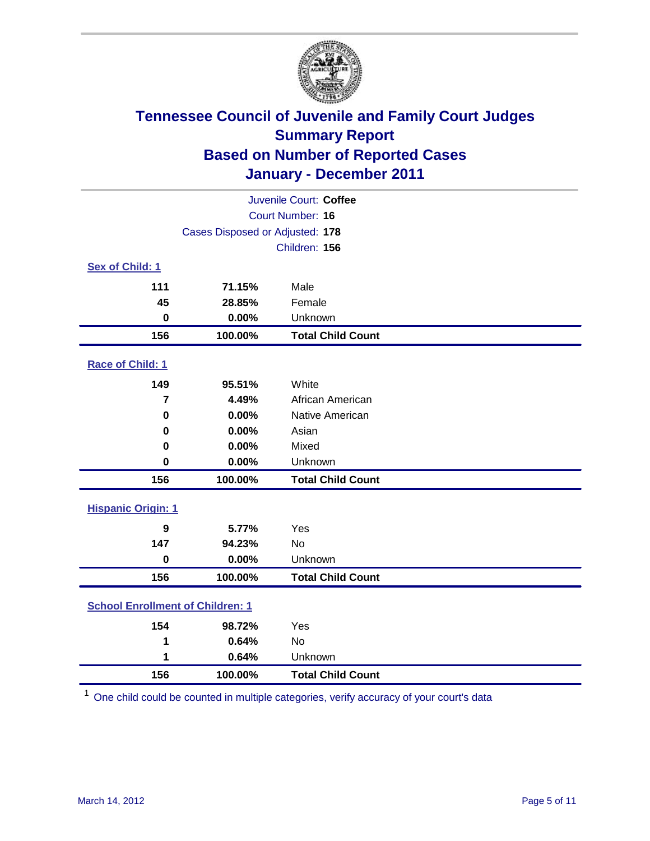

| Juvenile Court: Coffee                  |                                 |                          |  |  |
|-----------------------------------------|---------------------------------|--------------------------|--|--|
| Court Number: 16                        |                                 |                          |  |  |
|                                         | Cases Disposed or Adjusted: 178 |                          |  |  |
|                                         |                                 | Children: 156            |  |  |
| Sex of Child: 1                         |                                 |                          |  |  |
| 111                                     | 71.15%                          | Male                     |  |  |
| 45                                      | 28.85%                          | Female                   |  |  |
| $\bf{0}$                                | 0.00%                           | Unknown                  |  |  |
| 156                                     | 100.00%                         | <b>Total Child Count</b> |  |  |
| Race of Child: 1                        |                                 |                          |  |  |
| 149                                     | 95.51%                          | White                    |  |  |
| $\overline{7}$                          | 4.49%                           | African American         |  |  |
| 0                                       | 0.00%                           | Native American          |  |  |
| $\mathbf 0$                             | 0.00%                           | Asian                    |  |  |
| 0                                       | 0.00%                           | Mixed                    |  |  |
| $\mathbf 0$                             | 0.00%                           | Unknown                  |  |  |
| 156                                     | 100.00%                         | <b>Total Child Count</b> |  |  |
| <b>Hispanic Origin: 1</b>               |                                 |                          |  |  |
| $\boldsymbol{9}$                        | 5.77%                           | Yes                      |  |  |
| 147                                     | 94.23%                          | <b>No</b>                |  |  |
| $\mathbf 0$                             | 0.00%                           | Unknown                  |  |  |
| 156                                     | 100.00%                         | <b>Total Child Count</b> |  |  |
| <b>School Enrollment of Children: 1</b> |                                 |                          |  |  |
| 154                                     | 98.72%                          | Yes                      |  |  |
| 1                                       | 0.64%                           | No                       |  |  |
| 1                                       | 0.64%                           | Unknown                  |  |  |
| 156                                     | 100.00%                         | <b>Total Child Count</b> |  |  |

One child could be counted in multiple categories, verify accuracy of your court's data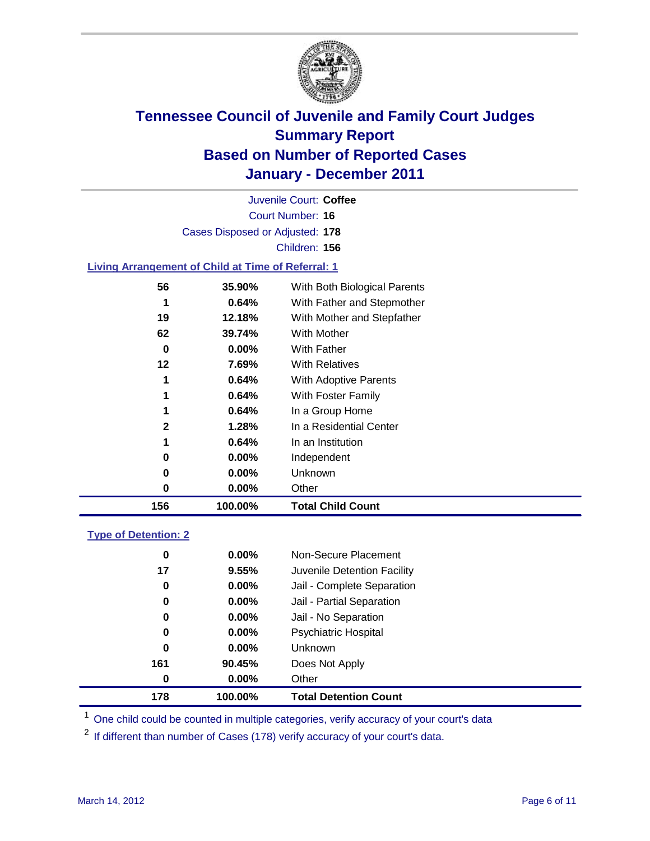

Court Number: **16** Juvenile Court: **Coffee** Cases Disposed or Adjusted: **178** Children: **156**

### **Living Arrangement of Child at Time of Referral: 1**

| 156          | 100.00%  | <b>Total Child Count</b>     |
|--------------|----------|------------------------------|
| 0            | $0.00\%$ | Other                        |
| 0            | $0.00\%$ | Unknown                      |
| 0            | $0.00\%$ | Independent                  |
| 1            | 0.64%    | In an Institution            |
| $\mathbf{2}$ | 1.28%    | In a Residential Center      |
| 1            | 0.64%    | In a Group Home              |
| 1            | 0.64%    | With Foster Family           |
| 1            | 0.64%    | <b>With Adoptive Parents</b> |
| 12           | 7.69%    | <b>With Relatives</b>        |
| 0            | $0.00\%$ | With Father                  |
| 62           | 39.74%   | <b>With Mother</b>           |
| 19           | 12.18%   | With Mother and Stepfather   |
|              | 0.64%    | With Father and Stepmother   |
| 56           | 35.90%   | With Both Biological Parents |
|              |          |                              |

### **Type of Detention: 2**

| 178 | 100.00%  | <b>Total Detention Count</b> |  |
|-----|----------|------------------------------|--|
| 0   | 0.00%    | Other                        |  |
| 161 | 90.45%   | Does Not Apply               |  |
| 0   | $0.00\%$ | <b>Unknown</b>               |  |
| 0   | $0.00\%$ | Psychiatric Hospital         |  |
| 0   | 0.00%    | Jail - No Separation         |  |
| 0   | $0.00\%$ | Jail - Partial Separation    |  |
| 0   | $0.00\%$ | Jail - Complete Separation   |  |
| 17  | 9.55%    | Juvenile Detention Facility  |  |
| 0   | $0.00\%$ | Non-Secure Placement         |  |
|     |          |                              |  |

<sup>1</sup> One child could be counted in multiple categories, verify accuracy of your court's data

<sup>2</sup> If different than number of Cases (178) verify accuracy of your court's data.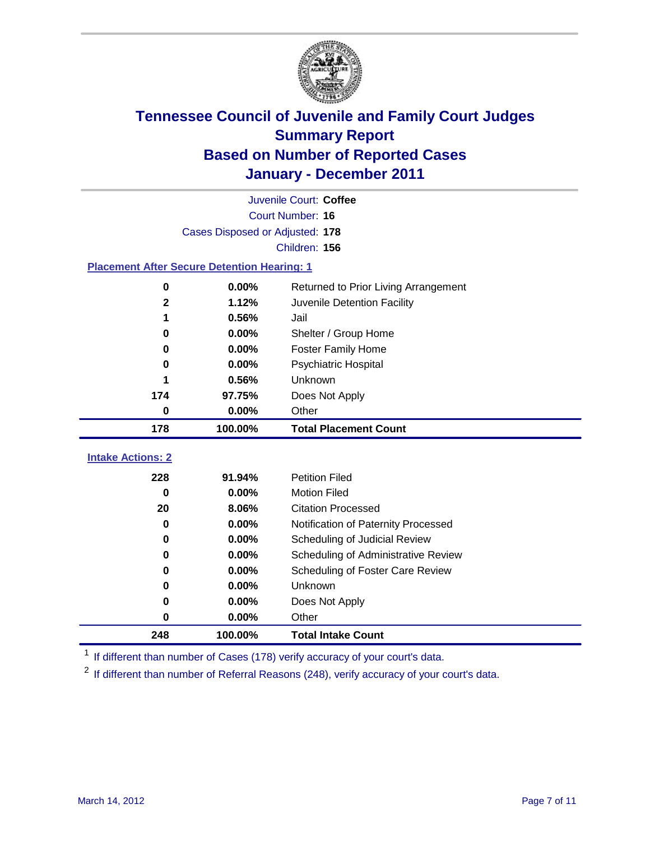

| Juvenile Court: Coffee                             |                                 |                                      |  |  |  |
|----------------------------------------------------|---------------------------------|--------------------------------------|--|--|--|
|                                                    | Court Number: 16                |                                      |  |  |  |
|                                                    | Cases Disposed or Adjusted: 178 |                                      |  |  |  |
|                                                    |                                 | Children: 156                        |  |  |  |
| <b>Placement After Secure Detention Hearing: 1</b> |                                 |                                      |  |  |  |
| 0                                                  | 0.00%                           | Returned to Prior Living Arrangement |  |  |  |
| $\overline{\mathbf{2}}$                            | 1.12%                           | Juvenile Detention Facility          |  |  |  |
| 1                                                  | 0.56%                           | Jail                                 |  |  |  |
| 0                                                  | 0.00%                           | Shelter / Group Home                 |  |  |  |
| 0                                                  | 0.00%                           | <b>Foster Family Home</b>            |  |  |  |
| 0                                                  | 0.00%                           | Psychiatric Hospital                 |  |  |  |
| 1                                                  | 0.56%                           | Unknown                              |  |  |  |
| 174                                                | 97.75%                          | Does Not Apply                       |  |  |  |
| 0                                                  | 0.00%                           | Other                                |  |  |  |
| 178                                                | 100.00%                         | <b>Total Placement Count</b>         |  |  |  |
| <b>Intake Actions: 2</b>                           |                                 |                                      |  |  |  |
|                                                    |                                 |                                      |  |  |  |
| 228                                                | 91.94%                          | <b>Petition Filed</b>                |  |  |  |
| $\bf{0}$                                           | 0.00%                           | <b>Motion Filed</b>                  |  |  |  |
| 20                                                 | 8.06%                           | <b>Citation Processed</b>            |  |  |  |
| 0                                                  | 0.00%                           | Notification of Paternity Processed  |  |  |  |
| $\mathbf 0$                                        | 0.00%                           | Scheduling of Judicial Review        |  |  |  |
| 0                                                  | 0.00%                           | Scheduling of Administrative Review  |  |  |  |
| 0                                                  | 0.00%                           | Scheduling of Foster Care Review     |  |  |  |
| 0                                                  | 0.00%                           | Unknown                              |  |  |  |
| 0                                                  | 0.00%                           | Does Not Apply                       |  |  |  |
| $\pmb{0}$                                          | 0.00%                           | Other                                |  |  |  |
| 248                                                | 100.00%                         | <b>Total Intake Count</b>            |  |  |  |

<sup>1</sup> If different than number of Cases (178) verify accuracy of your court's data.

<sup>2</sup> If different than number of Referral Reasons (248), verify accuracy of your court's data.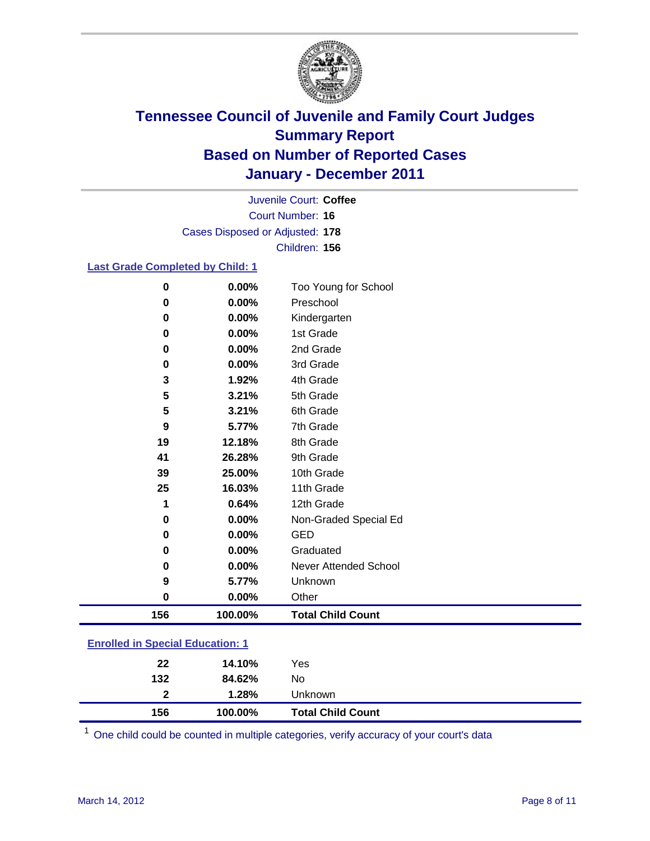

Court Number: **16** Juvenile Court: **Coffee** Cases Disposed or Adjusted: **178** Children: **156**

#### **Last Grade Completed by Child: 1**

| $\bf{0}$                                | 0.00%   | Too Young for School         |
|-----------------------------------------|---------|------------------------------|
| $\pmb{0}$                               | 0.00%   | Preschool                    |
| $\pmb{0}$                               | 0.00%   | Kindergarten                 |
| 0                                       | 0.00%   | 1st Grade                    |
| 0                                       | 0.00%   | 2nd Grade                    |
| 0                                       | 0.00%   | 3rd Grade                    |
| 3                                       | 1.92%   | 4th Grade                    |
| 5                                       | 3.21%   | 5th Grade                    |
| 5                                       | 3.21%   | 6th Grade                    |
| 9                                       | 5.77%   | 7th Grade                    |
| 19                                      | 12.18%  | 8th Grade                    |
| 41                                      | 26.28%  | 9th Grade                    |
| 39                                      | 25.00%  | 10th Grade                   |
| 25                                      | 16.03%  | 11th Grade                   |
| 1                                       | 0.64%   | 12th Grade                   |
| 0                                       | 0.00%   | Non-Graded Special Ed        |
| 0                                       | 0.00%   | <b>GED</b>                   |
| 0                                       | 0.00%   | Graduated                    |
| $\bf{0}$                                | 0.00%   | <b>Never Attended School</b> |
| 9                                       | 5.77%   | Unknown                      |
| $\bf{0}$                                | 0.00%   | Other                        |
| 156                                     | 100.00% | <b>Total Child Count</b>     |
| <b>Enrolled in Special Education: 1</b> |         |                              |

| 156          | 100.00% | <b>Total Child Count</b> |  |
|--------------|---------|--------------------------|--|
| $\mathbf{2}$ | 1.28%   | Unknown                  |  |
| 132          | 84.62%  | No                       |  |
| 22           | 14.10%  | Yes                      |  |
|              |         |                          |  |

One child could be counted in multiple categories, verify accuracy of your court's data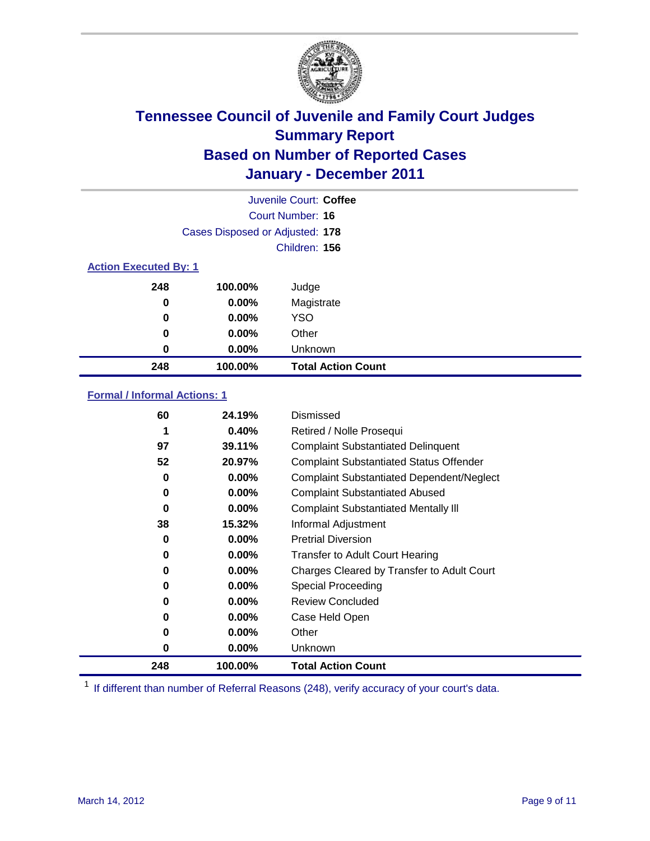

|                              | Juvenile Court: Coffee          |                           |  |  |
|------------------------------|---------------------------------|---------------------------|--|--|
|                              | Court Number: 16                |                           |  |  |
|                              | Cases Disposed or Adjusted: 178 |                           |  |  |
|                              |                                 | Children: 156             |  |  |
| <b>Action Executed By: 1</b> |                                 |                           |  |  |
| 248                          | 100.00%                         | Judge                     |  |  |
| $\bf{0}$                     | $0.00\%$                        | Magistrate                |  |  |
| $\bf{0}$                     | $0.00\%$                        | <b>YSO</b>                |  |  |
| 0                            | $0.00\%$                        | Other                     |  |  |
| 0                            | 0.00%                           | Unknown                   |  |  |
| 248                          | 100.00%                         | <b>Total Action Count</b> |  |  |

### **Formal / Informal Actions: 1**

| 60  | 24.19%   | Dismissed                                        |
|-----|----------|--------------------------------------------------|
| 1   | 0.40%    | Retired / Nolle Prosequi                         |
| 97  | 39.11%   | <b>Complaint Substantiated Delinquent</b>        |
| 52  | 20.97%   | <b>Complaint Substantiated Status Offender</b>   |
| 0   | 0.00%    | <b>Complaint Substantiated Dependent/Neglect</b> |
| 0   | $0.00\%$ | <b>Complaint Substantiated Abused</b>            |
| 0   | $0.00\%$ | <b>Complaint Substantiated Mentally III</b>      |
| 38  | 15.32%   | Informal Adjustment                              |
| 0   | $0.00\%$ | <b>Pretrial Diversion</b>                        |
| 0   | $0.00\%$ | <b>Transfer to Adult Court Hearing</b>           |
| 0   | 0.00%    | Charges Cleared by Transfer to Adult Court       |
| 0   | $0.00\%$ | Special Proceeding                               |
| 0   | 0.00%    | <b>Review Concluded</b>                          |
| 0   | $0.00\%$ | Case Held Open                                   |
| 0   | $0.00\%$ | Other                                            |
| 0   | $0.00\%$ | Unknown                                          |
| 248 | 100.00%  | <b>Total Action Count</b>                        |

<sup>1</sup> If different than number of Referral Reasons (248), verify accuracy of your court's data.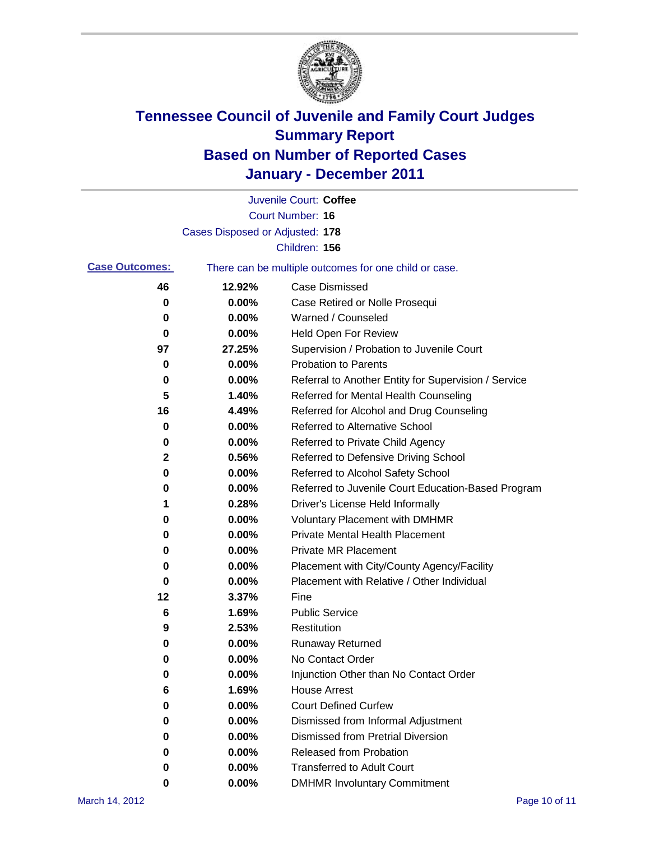

|                       |                                 | Juvenile Court: Coffee                                |
|-----------------------|---------------------------------|-------------------------------------------------------|
|                       |                                 | Court Number: 16                                      |
|                       | Cases Disposed or Adjusted: 178 |                                                       |
|                       |                                 | Children: 156                                         |
| <b>Case Outcomes:</b> |                                 | There can be multiple outcomes for one child or case. |
| 46                    | 12.92%                          | <b>Case Dismissed</b>                                 |
| 0                     | 0.00%                           | Case Retired or Nolle Prosequi                        |
| 0                     | 0.00%                           | Warned / Counseled                                    |
| 0                     | 0.00%                           | Held Open For Review                                  |
| 97                    | 27.25%                          | Supervision / Probation to Juvenile Court             |
| 0                     | 0.00%                           | <b>Probation to Parents</b>                           |
| 0                     | 0.00%                           | Referral to Another Entity for Supervision / Service  |
| 5                     | 1.40%                           | Referred for Mental Health Counseling                 |
| 16                    | 4.49%                           | Referred for Alcohol and Drug Counseling              |
| 0                     | 0.00%                           | <b>Referred to Alternative School</b>                 |
| 0                     | 0.00%                           | Referred to Private Child Agency                      |
| 2                     | 0.56%                           | Referred to Defensive Driving School                  |
| 0                     | 0.00%                           | Referred to Alcohol Safety School                     |
| 0                     | 0.00%                           | Referred to Juvenile Court Education-Based Program    |
| 1                     | 0.28%                           | Driver's License Held Informally                      |
| 0                     | 0.00%                           | <b>Voluntary Placement with DMHMR</b>                 |
| 0                     | 0.00%                           | <b>Private Mental Health Placement</b>                |
| 0                     | 0.00%                           | <b>Private MR Placement</b>                           |
| 0                     | 0.00%                           | Placement with City/County Agency/Facility            |
| 0                     | 0.00%                           | Placement with Relative / Other Individual            |
| 12                    | 3.37%                           | Fine                                                  |
| 6                     | 1.69%                           | <b>Public Service</b>                                 |
| 9                     | 2.53%                           | Restitution                                           |
| 0                     | 0.00%                           | <b>Runaway Returned</b>                               |
| 0                     | 0.00%                           | No Contact Order                                      |
| 0                     | 0.00%                           | Injunction Other than No Contact Order                |
| 6                     | 1.69%                           | <b>House Arrest</b>                                   |
| 0                     | 0.00%                           | <b>Court Defined Curfew</b>                           |
| 0                     | 0.00%                           | Dismissed from Informal Adjustment                    |
| 0                     | 0.00%                           | <b>Dismissed from Pretrial Diversion</b>              |
| 0                     | 0.00%                           | Released from Probation                               |
| 0                     | 0.00%                           | <b>Transferred to Adult Court</b>                     |
| 0                     | 0.00%                           | <b>DMHMR Involuntary Commitment</b>                   |